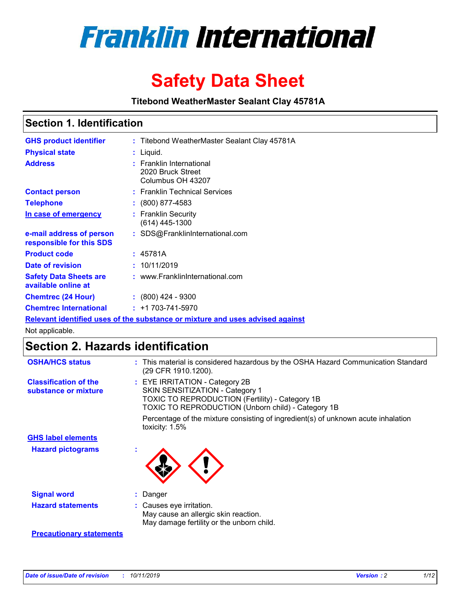

# **Safety Data Sheet**

**Titebond WeatherMaster Sealant Clay 45781A**

### **Section 1. Identification**

| <b>GHS product identifier</b>                        | : Titebond WeatherMaster Sealant Clay 45781A                                  |
|------------------------------------------------------|-------------------------------------------------------------------------------|
| <b>Physical state</b>                                | : Liquid.                                                                     |
| <b>Address</b>                                       | : Franklin International<br>2020 Bruck Street<br>Columbus OH 43207            |
| <b>Contact person</b>                                | : Franklin Technical Services                                                 |
| <b>Telephone</b>                                     | $: (800) 877 - 4583$                                                          |
| In case of emergency                                 | : Franklin Security<br>(614) 445-1300                                         |
| e-mail address of person<br>responsible for this SDS | : SDS@FranklinInternational.com                                               |
| <b>Product code</b>                                  | : 45781A                                                                      |
| Date of revision                                     | : 10/11/2019                                                                  |
| <b>Safety Data Sheets are</b><br>available online at | : www.FranklinInternational.com                                               |
| <b>Chemtrec (24 Hour)</b>                            | $\div$ (800) 424 - 9300                                                       |
| <b>Chemtrec International</b>                        | $: +1703 - 741 - 5970$                                                        |
|                                                      | Relevant identified uses of the substance or mixture and uses advised against |

Not applicable.

## **Section 2. Hazards identification**

| <b>OSHA/HCS status</b>                               | : This material is considered hazardous by the OSHA Hazard Communication Standard<br>(29 CFR 1910.1200).                                                                                 |
|------------------------------------------------------|------------------------------------------------------------------------------------------------------------------------------------------------------------------------------------------|
| <b>Classification of the</b><br>substance or mixture | : EYE IRRITATION - Category 2B<br>SKIN SENSITIZATION - Category 1<br><b>TOXIC TO REPRODUCTION (Fertility) - Category 1B</b><br><b>TOXIC TO REPRODUCTION (Unborn child) - Category 1B</b> |
|                                                      | Percentage of the mixture consisting of ingredient(s) of unknown acute inhalation<br>toxicity: $1.5\%$                                                                                   |
| <b>GHS label elements</b>                            |                                                                                                                                                                                          |
| <b>Hazard pictograms</b>                             |                                                                                                                                                                                          |
| <b>Signal word</b>                                   | : Danger                                                                                                                                                                                 |
| <b>Hazard statements</b>                             | : Causes eye irritation.<br>May cause an allergic skin reaction.<br>May damage fertility or the unborn child.                                                                            |
| <b>Precautionary statements</b>                      |                                                                                                                                                                                          |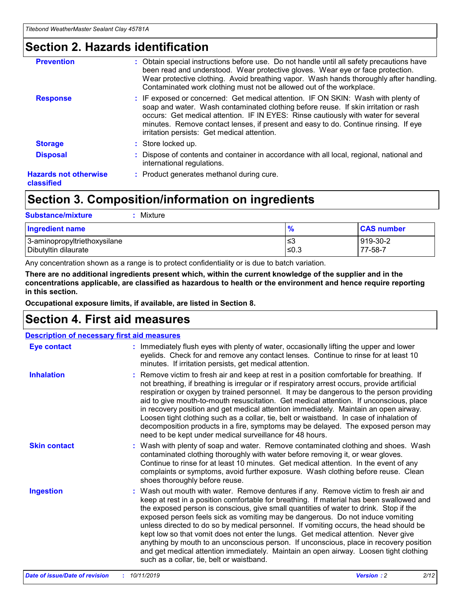### **Section 2. Hazards identification**

| <b>Prevention</b>                          | : Obtain special instructions before use. Do not handle until all safety precautions have<br>been read and understood. Wear protective gloves. Wear eye or face protection.<br>Wear protective clothing. Avoid breathing vapor. Wash hands thoroughly after handling.<br>Contaminated work clothing must not be allowed out of the workplace.                                                        |
|--------------------------------------------|------------------------------------------------------------------------------------------------------------------------------------------------------------------------------------------------------------------------------------------------------------------------------------------------------------------------------------------------------------------------------------------------------|
| <b>Response</b>                            | : IF exposed or concerned: Get medical attention. IF ON SKIN: Wash with plenty of<br>soap and water. Wash contaminated clothing before reuse. If skin irritation or rash<br>occurs: Get medical attention. IF IN EYES: Rinse cautiously with water for several<br>minutes. Remove contact lenses, if present and easy to do. Continue rinsing. If eye<br>irritation persists: Get medical attention. |
| <b>Storage</b>                             | : Store locked up.                                                                                                                                                                                                                                                                                                                                                                                   |
| <b>Disposal</b>                            | : Dispose of contents and container in accordance with all local, regional, national and<br>international regulations.                                                                                                                                                                                                                                                                               |
| <b>Hazards not otherwise</b><br>classified | : Product generates methanol during cure.                                                                                                                                                                                                                                                                                                                                                            |
|                                            |                                                                                                                                                                                                                                                                                                                                                                                                      |

## **Section 3. Composition/information on ingredients**

| <b>Substance/mixture</b><br>Mixture                  |               |                     |
|------------------------------------------------------|---------------|---------------------|
| Ingredient name                                      | $\frac{9}{6}$ | <b>CAS number</b>   |
| 3-aminopropyltriethoxysilane<br>Dibutyltin dilaurate | ∣≤3<br>≤0.3   | 919-30-2<br>77-58-7 |

Any concentration shown as a range is to protect confidentiality or is due to batch variation.

**There are no additional ingredients present which, within the current knowledge of the supplier and in the concentrations applicable, are classified as hazardous to health or the environment and hence require reporting in this section.**

**Occupational exposure limits, if available, are listed in Section 8.**

## **Section 4. First aid measures**

| <b>Description of necessary first aid measures</b> |                                                                                                                                                                                                                                                                                                                                                                                                                                                                                                                                                                                                                                                                                                                                                                           |  |  |  |
|----------------------------------------------------|---------------------------------------------------------------------------------------------------------------------------------------------------------------------------------------------------------------------------------------------------------------------------------------------------------------------------------------------------------------------------------------------------------------------------------------------------------------------------------------------------------------------------------------------------------------------------------------------------------------------------------------------------------------------------------------------------------------------------------------------------------------------------|--|--|--|
| <b>Eye contact</b>                                 | : Immediately flush eyes with plenty of water, occasionally lifting the upper and lower<br>eyelids. Check for and remove any contact lenses. Continue to rinse for at least 10<br>minutes. If irritation persists, get medical attention.                                                                                                                                                                                                                                                                                                                                                                                                                                                                                                                                 |  |  |  |
| <b>Inhalation</b>                                  | : Remove victim to fresh air and keep at rest in a position comfortable for breathing. If<br>not breathing, if breathing is irregular or if respiratory arrest occurs, provide artificial<br>respiration or oxygen by trained personnel. It may be dangerous to the person providing<br>aid to give mouth-to-mouth resuscitation. Get medical attention. If unconscious, place<br>in recovery position and get medical attention immediately. Maintain an open airway.<br>Loosen tight clothing such as a collar, tie, belt or waistband. In case of inhalation of<br>decomposition products in a fire, symptoms may be delayed. The exposed person may<br>need to be kept under medical surveillance for 48 hours.                                                       |  |  |  |
| <b>Skin contact</b>                                | : Wash with plenty of soap and water. Remove contaminated clothing and shoes. Wash<br>contaminated clothing thoroughly with water before removing it, or wear gloves.<br>Continue to rinse for at least 10 minutes. Get medical attention. In the event of any<br>complaints or symptoms, avoid further exposure. Wash clothing before reuse. Clean<br>shoes thoroughly before reuse.                                                                                                                                                                                                                                                                                                                                                                                     |  |  |  |
| <b>Ingestion</b>                                   | : Wash out mouth with water. Remove dentures if any. Remove victim to fresh air and<br>keep at rest in a position comfortable for breathing. If material has been swallowed and<br>the exposed person is conscious, give small quantities of water to drink. Stop if the<br>exposed person feels sick as vomiting may be dangerous. Do not induce vomiting<br>unless directed to do so by medical personnel. If vomiting occurs, the head should be<br>kept low so that vomit does not enter the lungs. Get medical attention. Never give<br>anything by mouth to an unconscious person. If unconscious, place in recovery position<br>and get medical attention immediately. Maintain an open airway. Loosen tight clothing<br>such as a collar, tie, belt or waistband. |  |  |  |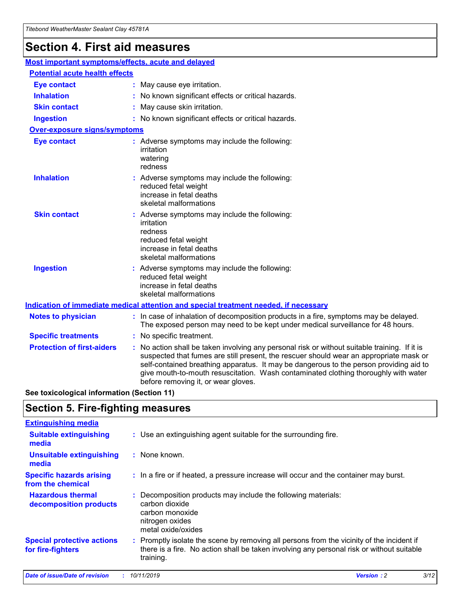## **Section 4. First aid measures**

| Most important symptoms/effects, acute and delayed |                                       |                                                                                                                                                                                                                                                                                                                                                                                                                 |  |  |  |
|----------------------------------------------------|---------------------------------------|-----------------------------------------------------------------------------------------------------------------------------------------------------------------------------------------------------------------------------------------------------------------------------------------------------------------------------------------------------------------------------------------------------------------|--|--|--|
|                                                    | <b>Potential acute health effects</b> |                                                                                                                                                                                                                                                                                                                                                                                                                 |  |  |  |
| <b>Eye contact</b>                                 |                                       | : May cause eye irritation.                                                                                                                                                                                                                                                                                                                                                                                     |  |  |  |
| <b>Inhalation</b>                                  |                                       | : No known significant effects or critical hazards.                                                                                                                                                                                                                                                                                                                                                             |  |  |  |
| <b>Skin contact</b>                                |                                       | : May cause skin irritation.                                                                                                                                                                                                                                                                                                                                                                                    |  |  |  |
| <b>Ingestion</b>                                   |                                       | : No known significant effects or critical hazards.                                                                                                                                                                                                                                                                                                                                                             |  |  |  |
| Over-exposure signs/symptoms                       |                                       |                                                                                                                                                                                                                                                                                                                                                                                                                 |  |  |  |
| <b>Eye contact</b>                                 |                                       | : Adverse symptoms may include the following:<br>irritation<br>watering<br>redness                                                                                                                                                                                                                                                                                                                              |  |  |  |
| <b>Inhalation</b>                                  |                                       | : Adverse symptoms may include the following:<br>reduced fetal weight<br>increase in fetal deaths<br>skeletal malformations                                                                                                                                                                                                                                                                                     |  |  |  |
| <b>Skin contact</b>                                |                                       | : Adverse symptoms may include the following:<br>irritation<br>redness<br>reduced fetal weight<br>increase in fetal deaths<br>skeletal malformations                                                                                                                                                                                                                                                            |  |  |  |
| <b>Ingestion</b>                                   |                                       | : Adverse symptoms may include the following:<br>reduced fetal weight<br>increase in fetal deaths<br>skeletal malformations                                                                                                                                                                                                                                                                                     |  |  |  |
|                                                    |                                       | <b>Indication of immediate medical attention and special treatment needed, if necessary</b>                                                                                                                                                                                                                                                                                                                     |  |  |  |
| <b>Notes to physician</b>                          |                                       | : In case of inhalation of decomposition products in a fire, symptoms may be delayed.<br>The exposed person may need to be kept under medical surveillance for 48 hours.                                                                                                                                                                                                                                        |  |  |  |
| <b>Specific treatments</b>                         |                                       | : No specific treatment.                                                                                                                                                                                                                                                                                                                                                                                        |  |  |  |
| <b>Protection of first-aiders</b>                  |                                       | : No action shall be taken involving any personal risk or without suitable training. If it is<br>suspected that fumes are still present, the rescuer should wear an appropriate mask or<br>self-contained breathing apparatus. It may be dangerous to the person providing aid to<br>give mouth-to-mouth resuscitation. Wash contaminated clothing thoroughly with water<br>before removing it, or wear gloves. |  |  |  |

**See toxicological information (Section 11)**

### **Section 5. Fire-fighting measures**

| <b>Extinguishing media</b>                             |                                                                                                                                                                                                     |
|--------------------------------------------------------|-----------------------------------------------------------------------------------------------------------------------------------------------------------------------------------------------------|
| <b>Suitable extinguishing</b><br>media                 | : Use an extinguishing agent suitable for the surrounding fire.                                                                                                                                     |
| <b>Unsuitable extinguishing</b><br>media               | : None known.                                                                                                                                                                                       |
| <b>Specific hazards arising</b><br>from the chemical   | : In a fire or if heated, a pressure increase will occur and the container may burst.                                                                                                               |
| <b>Hazardous thermal</b><br>decomposition products     | : Decomposition products may include the following materials:<br>carbon dioxide<br>carbon monoxide<br>nitrogen oxides<br>metal oxide/oxides                                                         |
| <b>Special protective actions</b><br>for fire-fighters | : Promptly isolate the scene by removing all persons from the vicinity of the incident if<br>there is a fire. No action shall be taken involving any personal risk or without suitable<br>training. |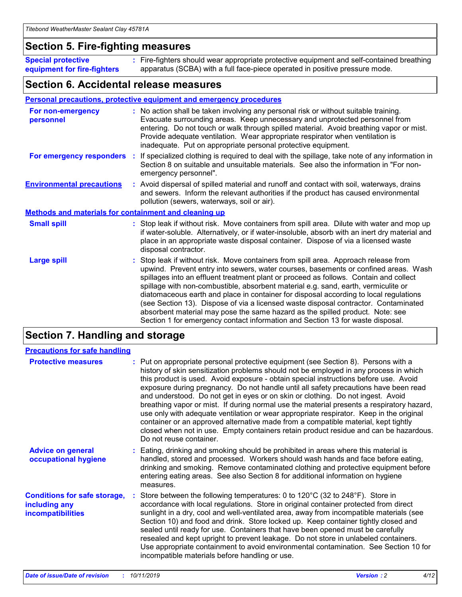### **Section 5. Fire-fighting measures**

**Special protective equipment for fire-fighters** Fire-fighters should wear appropriate protective equipment and self-contained breathing **:** apparatus (SCBA) with a full face-piece operated in positive pressure mode.

### **Section 6. Accidental release measures**

#### **Personal precautions, protective equipment and emergency procedures**

| For non-emergency<br>personnel                               | : No action shall be taken involving any personal risk or without suitable training.<br>Evacuate surrounding areas. Keep unnecessary and unprotected personnel from<br>entering. Do not touch or walk through spilled material. Avoid breathing vapor or mist.<br>Provide adequate ventilation. Wear appropriate respirator when ventilation is<br>inadequate. Put on appropriate personal protective equipment.                                                                                                                                                                                                                                                                                             |
|--------------------------------------------------------------|--------------------------------------------------------------------------------------------------------------------------------------------------------------------------------------------------------------------------------------------------------------------------------------------------------------------------------------------------------------------------------------------------------------------------------------------------------------------------------------------------------------------------------------------------------------------------------------------------------------------------------------------------------------------------------------------------------------|
| For emergency responders                                     | : If specialized clothing is required to deal with the spillage, take note of any information in<br>Section 8 on suitable and unsuitable materials. See also the information in "For non-<br>emergency personnel".                                                                                                                                                                                                                                                                                                                                                                                                                                                                                           |
| <b>Environmental precautions</b>                             | : Avoid dispersal of spilled material and runoff and contact with soil, waterways, drains<br>and sewers. Inform the relevant authorities if the product has caused environmental<br>pollution (sewers, waterways, soil or air).                                                                                                                                                                                                                                                                                                                                                                                                                                                                              |
| <b>Methods and materials for containment and cleaning up</b> |                                                                                                                                                                                                                                                                                                                                                                                                                                                                                                                                                                                                                                                                                                              |
| <b>Small spill</b>                                           | : Stop leak if without risk. Move containers from spill area. Dilute with water and mop up<br>if water-soluble. Alternatively, or if water-insoluble, absorb with an inert dry material and<br>place in an appropriate waste disposal container. Dispose of via a licensed waste<br>disposal contractor.                                                                                                                                                                                                                                                                                                                                                                                                     |
| <b>Large spill</b>                                           | : Stop leak if without risk. Move containers from spill area. Approach release from<br>upwind. Prevent entry into sewers, water courses, basements or confined areas. Wash<br>spillages into an effluent treatment plant or proceed as follows. Contain and collect<br>spillage with non-combustible, absorbent material e.g. sand, earth, vermiculite or<br>diatomaceous earth and place in container for disposal according to local regulations<br>(see Section 13). Dispose of via a licensed waste disposal contractor. Contaminated<br>absorbent material may pose the same hazard as the spilled product. Note: see<br>Section 1 for emergency contact information and Section 13 for waste disposal. |

### **Section 7. Handling and storage**

| <b>Precautions for safe handling</b>                                             |                                                                                                                                                                                                                                                                                                                                                                                                                                                                                                                                                                                                                                                                                                                                                                                                                                                  |
|----------------------------------------------------------------------------------|--------------------------------------------------------------------------------------------------------------------------------------------------------------------------------------------------------------------------------------------------------------------------------------------------------------------------------------------------------------------------------------------------------------------------------------------------------------------------------------------------------------------------------------------------------------------------------------------------------------------------------------------------------------------------------------------------------------------------------------------------------------------------------------------------------------------------------------------------|
| <b>Protective measures</b>                                                       | : Put on appropriate personal protective equipment (see Section 8). Persons with a<br>history of skin sensitization problems should not be employed in any process in which<br>this product is used. Avoid exposure - obtain special instructions before use. Avoid<br>exposure during pregnancy. Do not handle until all safety precautions have been read<br>and understood. Do not get in eyes or on skin or clothing. Do not ingest. Avoid<br>breathing vapor or mist. If during normal use the material presents a respiratory hazard,<br>use only with adequate ventilation or wear appropriate respirator. Keep in the original<br>container or an approved alternative made from a compatible material, kept tightly<br>closed when not in use. Empty containers retain product residue and can be hazardous.<br>Do not reuse container. |
| <b>Advice on general</b><br>occupational hygiene                                 | : Eating, drinking and smoking should be prohibited in areas where this material is<br>handled, stored and processed. Workers should wash hands and face before eating,<br>drinking and smoking. Remove contaminated clothing and protective equipment before<br>entering eating areas. See also Section 8 for additional information on hygiene<br>measures.                                                                                                                                                                                                                                                                                                                                                                                                                                                                                    |
| <b>Conditions for safe storage,</b><br>including any<br><b>incompatibilities</b> | Store between the following temperatures: 0 to 120°C (32 to 248°F). Store in<br>accordance with local regulations. Store in original container protected from direct<br>sunlight in a dry, cool and well-ventilated area, away from incompatible materials (see<br>Section 10) and food and drink. Store locked up. Keep container tightly closed and<br>sealed until ready for use. Containers that have been opened must be carefully<br>resealed and kept upright to prevent leakage. Do not store in unlabeled containers.<br>Use appropriate containment to avoid environmental contamination. See Section 10 for<br>incompatible materials before handling or use.                                                                                                                                                                         |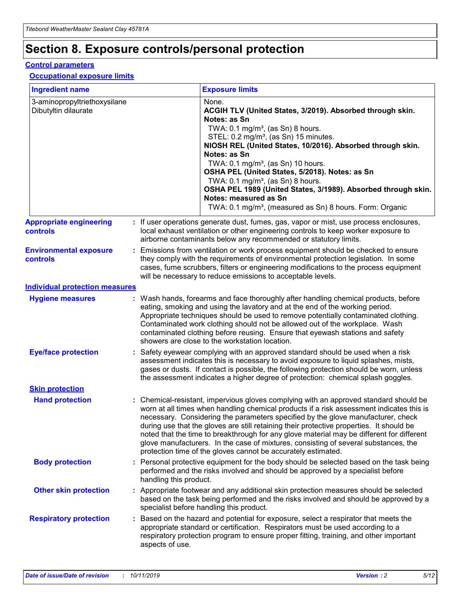## **Section 8. Exposure controls/personal protection**

#### **Control parameters**

#### **Occupational exposure limits**

| <b>Ingredient name</b>                               |    |                        | <b>Exposure limits</b>                                                                                                                                                                                                                                                                                                                                                                                                                                                                                                                                                                                                 |
|------------------------------------------------------|----|------------------------|------------------------------------------------------------------------------------------------------------------------------------------------------------------------------------------------------------------------------------------------------------------------------------------------------------------------------------------------------------------------------------------------------------------------------------------------------------------------------------------------------------------------------------------------------------------------------------------------------------------------|
| 3-aminopropyltriethoxysilane<br>Dibutyltin dilaurate |    |                        | None.<br>ACGIH TLV (United States, 3/2019). Absorbed through skin.<br>Notes: as Sn<br>TWA: $0.1 \text{ mg/m}^3$ , (as Sn) 8 hours.<br>STEL: 0.2 mg/m <sup>3</sup> , (as Sn) 15 minutes.<br>NIOSH REL (United States, 10/2016). Absorbed through skin.<br>Notes: as Sn<br>TWA: 0.1 mg/m <sup>3</sup> , (as Sn) 10 hours.<br>OSHA PEL (United States, 5/2018). Notes: as Sn<br>TWA: 0.1 mg/m <sup>3</sup> , (as Sn) 8 hours.<br>OSHA PEL 1989 (United States, 3/1989). Absorbed through skin.<br>Notes: measured as Sn<br>TWA: 0.1 mg/m <sup>3</sup> , (measured as Sn) 8 hours. Form: Organic                           |
| <b>Appropriate engineering</b><br>controls           |    |                        | : If user operations generate dust, fumes, gas, vapor or mist, use process enclosures,<br>local exhaust ventilation or other engineering controls to keep worker exposure to<br>airborne contaminants below any recommended or statutory limits.                                                                                                                                                                                                                                                                                                                                                                       |
| <b>Environmental exposure</b><br>controls            |    |                        | Emissions from ventilation or work process equipment should be checked to ensure<br>they comply with the requirements of environmental protection legislation. In some<br>cases, fume scrubbers, filters or engineering modifications to the process equipment<br>will be necessary to reduce emissions to acceptable levels.                                                                                                                                                                                                                                                                                          |
| <b>Individual protection measures</b>                |    |                        |                                                                                                                                                                                                                                                                                                                                                                                                                                                                                                                                                                                                                        |
| <b>Hygiene measures</b>                              |    |                        | : Wash hands, forearms and face thoroughly after handling chemical products, before<br>eating, smoking and using the lavatory and at the end of the working period.<br>Appropriate techniques should be used to remove potentially contaminated clothing.<br>Contaminated work clothing should not be allowed out of the workplace. Wash<br>contaminated clothing before reusing. Ensure that eyewash stations and safety<br>showers are close to the workstation location.                                                                                                                                            |
| <b>Eye/face protection</b>                           |    |                        | Safety eyewear complying with an approved standard should be used when a risk<br>assessment indicates this is necessary to avoid exposure to liquid splashes, mists,<br>gases or dusts. If contact is possible, the following protection should be worn, unless<br>the assessment indicates a higher degree of protection: chemical splash goggles.                                                                                                                                                                                                                                                                    |
| <b>Skin protection</b>                               |    |                        |                                                                                                                                                                                                                                                                                                                                                                                                                                                                                                                                                                                                                        |
| <b>Hand protection</b>                               |    |                        | : Chemical-resistant, impervious gloves complying with an approved standard should be<br>worn at all times when handling chemical products if a risk assessment indicates this is<br>necessary. Considering the parameters specified by the glove manufacturer, check<br>during use that the gloves are still retaining their protective properties. It should be<br>noted that the time to breakthrough for any glove material may be different for different<br>glove manufacturers. In the case of mixtures, consisting of several substances, the<br>protection time of the gloves cannot be accurately estimated. |
| <b>Body protection</b>                               |    | handling this product. | Personal protective equipment for the body should be selected based on the task being<br>performed and the risks involved and should be approved by a specialist before                                                                                                                                                                                                                                                                                                                                                                                                                                                |
| <b>Other skin protection</b>                         |    |                        | : Appropriate footwear and any additional skin protection measures should be selected<br>based on the task being performed and the risks involved and should be approved by a<br>specialist before handling this product.                                                                                                                                                                                                                                                                                                                                                                                              |
| <b>Respiratory protection</b>                        | ÷. | aspects of use.        | Based on the hazard and potential for exposure, select a respirator that meets the<br>appropriate standard or certification. Respirators must be used according to a<br>respiratory protection program to ensure proper fitting, training, and other important                                                                                                                                                                                                                                                                                                                                                         |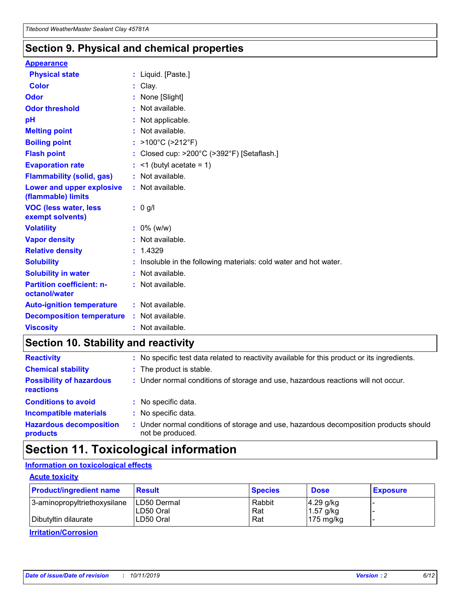### **Section 9. Physical and chemical properties**

#### **Appearance**

| <b>Physical state</b>                             | : Liquid. [Paste.]                                              |
|---------------------------------------------------|-----------------------------------------------------------------|
| Color                                             | Clay.                                                           |
| Odor                                              | : None [Slight]                                                 |
| <b>Odor threshold</b>                             | : Not available.                                                |
| рH                                                | : Not applicable.                                               |
| <b>Melting point</b>                              | : Not available.                                                |
| <b>Boiling point</b>                              | : >100°C (>212°F)                                               |
| <b>Flash point</b>                                | : Closed cup: >200°C (>392°F) [Setaflash.]                      |
| <b>Evaporation rate</b>                           | $:$ <1 (butyl acetate = 1)                                      |
| <b>Flammability (solid, gas)</b>                  | : Not available.                                                |
| Lower and upper explosive<br>(flammable) limits   | : Not available.                                                |
| <b>VOC (less water, less</b><br>exempt solvents)  | : 0 g/l                                                         |
| <b>Volatility</b>                                 | $: 0\%$ (w/w)                                                   |
| <b>Vapor density</b>                              | : Not available.                                                |
| <b>Relative density</b>                           | : 1.4329                                                        |
| <b>Solubility</b>                                 | Insoluble in the following materials: cold water and hot water. |
| <b>Solubility in water</b>                        | : Not available.                                                |
| <b>Partition coefficient: n-</b><br>octanol/water | $:$ Not available.                                              |
| <b>Auto-ignition temperature</b>                  | : Not available.                                                |
| <b>Decomposition temperature</b>                  | : Not available.                                                |
| <b>Viscosity</b>                                  |                                                                 |

### **Section 10. Stability and reactivity**

| <b>Reactivity</b>                            |    | : No specific test data related to reactivity available for this product or its ingredients.            |
|----------------------------------------------|----|---------------------------------------------------------------------------------------------------------|
| <b>Chemical stability</b>                    |    | : The product is stable.                                                                                |
| <b>Possibility of hazardous</b><br>reactions |    | : Under normal conditions of storage and use, hazardous reactions will not occur.                       |
| <b>Conditions to avoid</b>                   |    | : No specific data.                                                                                     |
| <b>Incompatible materials</b>                | ٠. | No specific data.                                                                                       |
| <b>Hazardous decomposition</b><br>products   | ÷. | Under normal conditions of storage and use, hazardous decomposition products should<br>not be produced. |

### **Section 11. Toxicological information**

### **Information on toxicological effects**

#### **Acute toxicity**

| <b>Product/ingredient name</b> | <b>Result</b>           | <b>Species</b> | <b>Dose</b>                | <b>Exposure</b> |
|--------------------------------|-------------------------|----------------|----------------------------|-----------------|
| 3-aminopropyltriethoxysilane   | <b>ILD50 Dermal</b>     | Rabbit         | 4.29 g/kg                  |                 |
| Dibutyltin dilaurate           | ILD50 Oral<br>LD50 Oral | Rat<br>Rat     | $1.57$ g/kg<br>175 $mg/kg$ |                 |
|                                |                         |                |                            |                 |

**Irritation/Corrosion**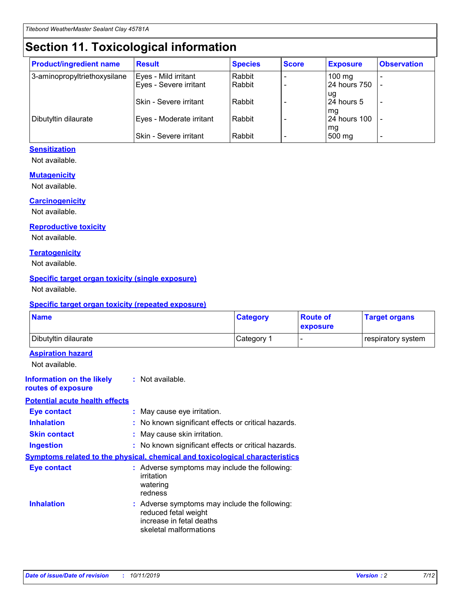## **Section 11. Toxicological information**

| <b>Product/ingredient name</b> | <b>Result</b>            | <b>Species</b> | <b>Score</b> | <b>Exposure</b>           | <b>Observation</b> |
|--------------------------------|--------------------------|----------------|--------------|---------------------------|--------------------|
| 3-aminopropyltriethoxysilane   | Eyes - Mild irritant     | Rabbit         |              | $100$ mg                  |                    |
|                                | Eyes - Severe irritant   | Rabbit         |              | 24 hours 750              |                    |
|                                |                          |                |              | ug                        |                    |
|                                | Skin - Severe irritant   | Rabbit         |              | 24 hours 5                | -                  |
| Dibutyltin dilaurate           | Eyes - Moderate irritant | Rabbit         |              | mq<br><b>24 hours 100</b> |                    |
|                                |                          |                |              | mg                        |                    |
|                                | Skin - Severe irritant   | Rabbit         |              | 500 mg                    |                    |

#### **Sensitization**

Not available.

#### **Mutagenicity**

Not available.

#### **Carcinogenicity**

Not available.

#### **Reproductive toxicity**

Not available.

#### **Teratogenicity**

Not available.

#### **Specific target organ toxicity (single exposure)**

Not available.

#### **Specific target organ toxicity (repeated exposure)**

| <b>Name</b>                                                                  |                                                                                                                             | <b>Category</b> | <b>Route of</b><br>exposure | <b>Target organs</b> |
|------------------------------------------------------------------------------|-----------------------------------------------------------------------------------------------------------------------------|-----------------|-----------------------------|----------------------|
| Dibutyltin dilaurate                                                         |                                                                                                                             | Category 1      |                             | respiratory system   |
| <b>Aspiration hazard</b><br>Not available.                                   |                                                                                                                             |                 |                             |                      |
| <b>Information on the likely</b><br>routes of exposure                       | : Not available.                                                                                                            |                 |                             |                      |
| <b>Potential acute health effects</b>                                        |                                                                                                                             |                 |                             |                      |
| <b>Eye contact</b>                                                           | : May cause eye irritation.                                                                                                 |                 |                             |                      |
| <b>Inhalation</b>                                                            | : No known significant effects or critical hazards.                                                                         |                 |                             |                      |
| <b>Skin contact</b>                                                          | : May cause skin irritation.                                                                                                |                 |                             |                      |
| <b>Ingestion</b>                                                             | : No known significant effects or critical hazards.                                                                         |                 |                             |                      |
| Symptoms related to the physical, chemical and toxicological characteristics |                                                                                                                             |                 |                             |                      |
| <b>Eye contact</b>                                                           | : Adverse symptoms may include the following:<br>irritation<br>watering<br>redness                                          |                 |                             |                      |
| <b>Inhalation</b>                                                            | : Adverse symptoms may include the following:<br>reduced fetal weight<br>increase in fetal deaths<br>skeletal malformations |                 |                             |                      |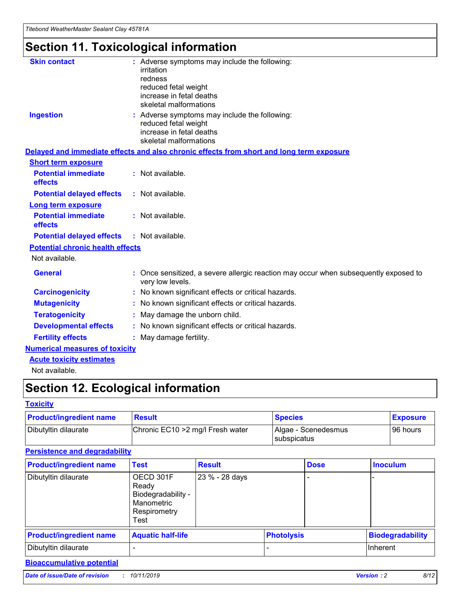# **Section 11. Toxicological information**

| <b>Skin contact</b>                     |                                                                                                          |
|-----------------------------------------|----------------------------------------------------------------------------------------------------------|
|                                         | : Adverse symptoms may include the following:<br>irritation                                              |
|                                         | redness                                                                                                  |
|                                         | reduced fetal weight                                                                                     |
|                                         | increase in fetal deaths                                                                                 |
|                                         | skeletal malformations                                                                                   |
| <b>Ingestion</b>                        | : Adverse symptoms may include the following:                                                            |
|                                         | reduced fetal weight                                                                                     |
|                                         | increase in fetal deaths                                                                                 |
|                                         | skeletal malformations                                                                                   |
|                                         | Delayed and immediate effects and also chronic effects from short and long term exposure                 |
| <b>Short term exposure</b>              |                                                                                                          |
| <b>Potential immediate</b>              | : Not available.                                                                                         |
| effects                                 |                                                                                                          |
| <b>Potential delayed effects</b>        | : Not available.                                                                                         |
| <b>Long term exposure</b>               |                                                                                                          |
| <b>Potential immediate</b>              | : Not available.                                                                                         |
| effects                                 |                                                                                                          |
| <b>Potential delayed effects</b>        | : Not available.                                                                                         |
| <b>Potential chronic health effects</b> |                                                                                                          |
| Not available.                          |                                                                                                          |
| <b>General</b>                          | : Once sensitized, a severe allergic reaction may occur when subsequently exposed to<br>very low levels. |
| <b>Carcinogenicity</b>                  | : No known significant effects or critical hazards.                                                      |
| <b>Mutagenicity</b>                     | No known significant effects or critical hazards.                                                        |
| <b>Teratogenicity</b>                   | May damage the unborn child.                                                                             |
| <b>Developmental effects</b>            | No known significant effects or critical hazards.                                                        |
| <b>Fertility effects</b>                | : May damage fertility.                                                                                  |
| <b>Numerical measures of toxicity</b>   |                                                                                                          |
| <b>Acute toxicity estimates</b>         |                                                                                                          |
|                                         |                                                                                                          |

Not available.

## **Section 12. Ecological information**

#### **Toxicity**

| <b>Product/ingredient name</b> | <b>Result</b>                     | <b>Species</b>                            | <b>Exposure</b> |
|--------------------------------|-----------------------------------|-------------------------------------------|-----------------|
| Dibutyltin dilaurate           | Chronic EC10 > 2 mg/l Fresh water | Algae - Scenedesmus<br><b>Subspicatus</b> | l 96 hours      |

#### **Persistence and degradability**

| <b>Product/ingredient name</b> | Test                                                                           | <b>Result</b>  |                   | <b>Dose</b> | <b>Inoculum</b>         |
|--------------------------------|--------------------------------------------------------------------------------|----------------|-------------------|-------------|-------------------------|
| Dibutyltin dilaurate           | OECD 301F<br>Ready<br>Biodegradability -<br>Manometric<br>Respirometry<br>Test | 23 % - 28 days |                   |             |                         |
| <b>Product/ingredient name</b> | <b>Aquatic half-life</b>                                                       |                | <b>Photolysis</b> |             | <b>Biodegradability</b> |
| Dibutyltin dilaurate           |                                                                                |                |                   |             | Inherent                |

#### **Bioaccumulative potential**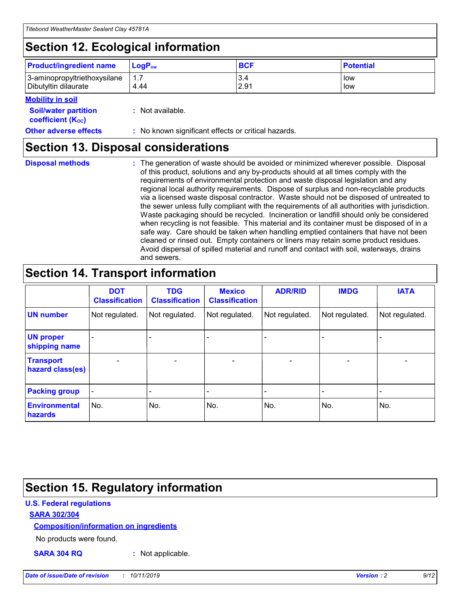## **Section 12. Ecological information**

| <b>Product/ingredient name</b>                       | ∣LoqP <sub>ow</sub> | <b>BCF</b>  | <b>Potential</b> |
|------------------------------------------------------|---------------------|-------------|------------------|
| 3-aminopropyltriethoxysilane<br>Dibutyltin dilaurate | 4.44                | 3.4<br>2.91 | low<br>low       |

#### **Mobility in soil**

| <i></i>                                                       |                                                     |
|---------------------------------------------------------------|-----------------------------------------------------|
| <b>Soil/water partition</b><br>coefficient (K <sub>oc</sub> ) | : Not available.                                    |
| <b>Other adverse effects</b>                                  | : No known significant effects or critical hazards. |

### **Section 13. Disposal considerations**

**Disposal methods :**

The generation of waste should be avoided or minimized wherever possible. Disposal of this product, solutions and any by-products should at all times comply with the requirements of environmental protection and waste disposal legislation and any regional local authority requirements. Dispose of surplus and non-recyclable products via a licensed waste disposal contractor. Waste should not be disposed of untreated to the sewer unless fully compliant with the requirements of all authorities with jurisdiction. Waste packaging should be recycled. Incineration or landfill should only be considered when recycling is not feasible. This material and its container must be disposed of in a safe way. Care should be taken when handling emptied containers that have not been cleaned or rinsed out. Empty containers or liners may retain some product residues. Avoid dispersal of spilled material and runoff and contact with soil, waterways, drains and sewers.

## **Section 14. Transport information**

|                                      | <b>DOT</b><br><b>Classification</b> | <b>TDG</b><br><b>Classification</b> | <b>Mexico</b><br><b>Classification</b> | <b>ADR/RID</b>           | <b>IMDG</b>              | <b>IATA</b>              |
|--------------------------------------|-------------------------------------|-------------------------------------|----------------------------------------|--------------------------|--------------------------|--------------------------|
| <b>UN number</b>                     | Not regulated.                      | Not regulated.                      | Not regulated.                         | Not regulated.           | Not regulated.           | Not regulated.           |
| <b>UN proper</b><br>shipping name    | $\qquad \qquad \blacksquare$        |                                     |                                        |                          |                          |                          |
| <b>Transport</b><br>hazard class(es) | $\blacksquare$                      | $\blacksquare$                      | $\blacksquare$                         | $\overline{\phantom{a}}$ | $\blacksquare$           | $\blacksquare$           |
| <b>Packing group</b>                 | $\overline{\phantom{a}}$            | $\overline{\phantom{0}}$            | $\qquad \qquad \blacksquare$           | -                        | $\overline{\phantom{0}}$ | $\overline{\phantom{a}}$ |
| <b>Environmental</b><br>hazards      | No.                                 | No.                                 | No.                                    | No.                      | No.                      | No.                      |

## **Section 15. Regulatory information**

#### **U.S. Federal regulations**

#### **SARA 302/304**

#### **Composition/information on ingredients**

No products were found.

**SARA 304 RQ :** Not applicable.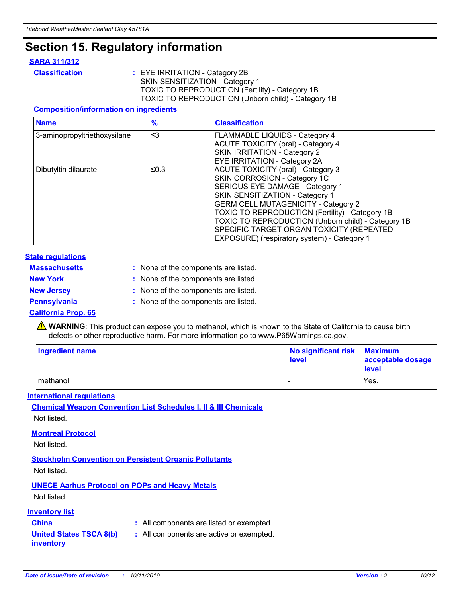### **Section 15. Regulatory information**

#### **SARA 311/312**

**Classification :** EYE IRRITATION - Category 2B SKIN SENSITIZATION - Category 1 TOXIC TO REPRODUCTION (Fertility) - Category 1B TOXIC TO REPRODUCTION (Unborn child) - Category 1B

#### **Composition/information on ingredients**

| <b>Name</b>                  | $\frac{9}{6}$ | <b>Classification</b>                                                                                            |
|------------------------------|---------------|------------------------------------------------------------------------------------------------------------------|
| 3-aminopropyltriethoxysilane | $\leq$ 3      | <b>FLAMMABLE LIQUIDS - Category 4</b><br><b>ACUTE TOXICITY (oral) - Category 4</b>                               |
|                              |               | SKIN IRRITATION - Category 2<br>EYE IRRITATION - Category 2A                                                     |
| Dibutyltin dilaurate         | ≤0.3          | ACUTE TOXICITY (oral) - Category 3<br>SKIN CORROSION - Category 1C                                               |
|                              |               | SERIOUS EYE DAMAGE - Category 1<br>SKIN SENSITIZATION - Category 1<br><b>GERM CELL MUTAGENICITY - Category 2</b> |
|                              |               | TOXIC TO REPRODUCTION (Fertility) - Category 1B<br>TOXIC TO REPRODUCTION (Unborn child) - Category 1B            |
|                              |               | SPECIFIC TARGET ORGAN TOXICITY (REPEATED<br>EXPOSURE) (respiratory system) - Category 1                          |

#### **State regulations**

| <b>Massachusetts</b> | : None of the components are listed. |
|----------------------|--------------------------------------|
| <b>New York</b>      | : None of the components are listed. |
| <b>New Jersey</b>    | : None of the components are listed. |
| <b>Pennsylvania</b>  | : None of the components are listed. |

#### **California Prop. 65**

**A** WARNING: This product can expose you to methanol, which is known to the State of California to cause birth defects or other reproductive harm. For more information go to www.P65Warnings.ca.gov.

| <b>Ingredient name</b> | No significant risk Maximum<br>level | acceptable dosage<br>level |
|------------------------|--------------------------------------|----------------------------|
| methanol               |                                      | Yes.                       |

#### **International regulations**

**Chemical Weapon Convention List Schedules I, II & III Chemicals** Not listed.

#### **Montreal Protocol**

Not listed.

**Stockholm Convention on Persistent Organic Pollutants**

Not listed.

### **UNECE Aarhus Protocol on POPs and Heavy Metals**

Not listed.

#### **Inventory list**

### **China :** All components are listed or exempted.

**United States TSCA 8(b) inventory :** All components are active or exempted.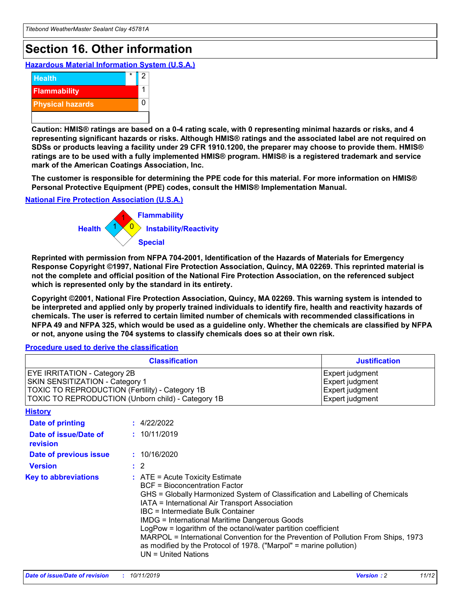## **Section 16. Other information**

**Hazardous Material Information System (U.S.A.)**



**Caution: HMIS® ratings are based on a 0-4 rating scale, with 0 representing minimal hazards or risks, and 4 representing significant hazards or risks. Although HMIS® ratings and the associated label are not required on SDSs or products leaving a facility under 29 CFR 1910.1200, the preparer may choose to provide them. HMIS® ratings are to be used with a fully implemented HMIS® program. HMIS® is a registered trademark and service mark of the American Coatings Association, Inc.**

**The customer is responsible for determining the PPE code for this material. For more information on HMIS® Personal Protective Equipment (PPE) codes, consult the HMIS® Implementation Manual.**

#### **National Fire Protection Association (U.S.A.)**



**Reprinted with permission from NFPA 704-2001, Identification of the Hazards of Materials for Emergency Response Copyright ©1997, National Fire Protection Association, Quincy, MA 02269. This reprinted material is not the complete and official position of the National Fire Protection Association, on the referenced subject which is represented only by the standard in its entirety.**

**Copyright ©2001, National Fire Protection Association, Quincy, MA 02269. This warning system is intended to be interpreted and applied only by properly trained individuals to identify fire, health and reactivity hazards of chemicals. The user is referred to certain limited number of chemicals with recommended classifications in NFPA 49 and NFPA 325, which would be used as a guideline only. Whether the chemicals are classified by NFPA or not, anyone using the 704 systems to classify chemicals does so at their own risk.**

#### **Procedure used to derive the classification**

| <b>Classification</b>                                                                                                                                                    |                                                                                                                                                                                                                                                                                                                                                                                                                                                                                                                                                               | <b>Justification</b>                                                     |
|--------------------------------------------------------------------------------------------------------------------------------------------------------------------------|---------------------------------------------------------------------------------------------------------------------------------------------------------------------------------------------------------------------------------------------------------------------------------------------------------------------------------------------------------------------------------------------------------------------------------------------------------------------------------------------------------------------------------------------------------------|--------------------------------------------------------------------------|
| EYE IRRITATION - Category 2B<br>SKIN SENSITIZATION - Category 1<br>TOXIC TO REPRODUCTION (Fertility) - Category 1B<br>TOXIC TO REPRODUCTION (Unborn child) - Category 1B |                                                                                                                                                                                                                                                                                                                                                                                                                                                                                                                                                               | Expert judgment<br>Expert judgment<br>Expert judgment<br>Expert judgment |
| <b>History</b>                                                                                                                                                           |                                                                                                                                                                                                                                                                                                                                                                                                                                                                                                                                                               |                                                                          |
| Date of printing                                                                                                                                                         | : 4/22/2022                                                                                                                                                                                                                                                                                                                                                                                                                                                                                                                                                   |                                                                          |
| Date of issue/Date of<br>revision                                                                                                                                        | : 10/11/2019                                                                                                                                                                                                                                                                                                                                                                                                                                                                                                                                                  |                                                                          |
| Date of previous issue                                                                                                                                                   | : 10/16/2020                                                                                                                                                                                                                                                                                                                                                                                                                                                                                                                                                  |                                                                          |
| <b>Version</b>                                                                                                                                                           | $\therefore$ 2                                                                                                                                                                                                                                                                                                                                                                                                                                                                                                                                                |                                                                          |
| <b>Key to abbreviations</b>                                                                                                                                              | $:$ ATE = Acute Toxicity Estimate<br><b>BCF</b> = Bioconcentration Factor<br>GHS = Globally Harmonized System of Classification and Labelling of Chemicals<br>IATA = International Air Transport Association<br>IBC = Intermediate Bulk Container<br><b>IMDG = International Maritime Dangerous Goods</b><br>LogPow = logarithm of the octanol/water partition coefficient<br>MARPOL = International Convention for the Prevention of Pollution From Ships, 1973<br>as modified by the Protocol of 1978. ("Marpol" = marine pollution)<br>UN = United Nations |                                                                          |